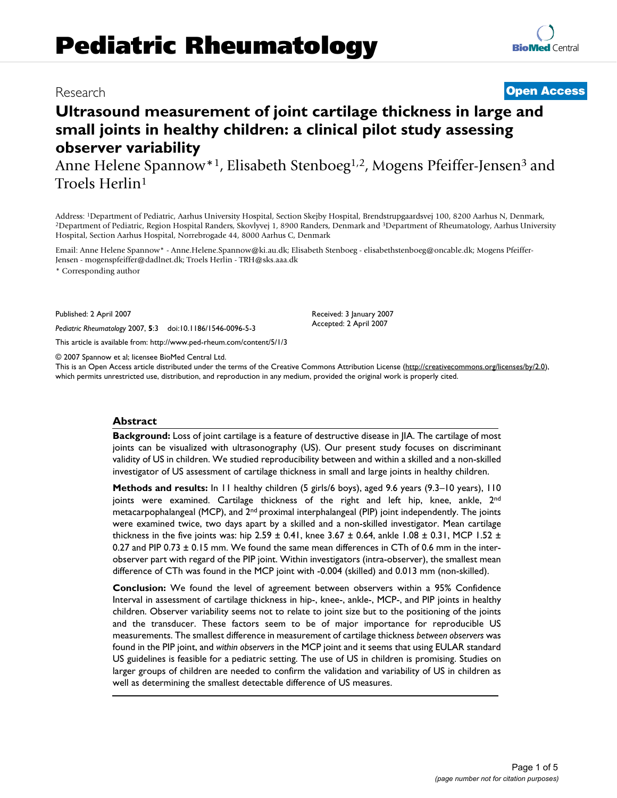# **Ultrasound measurement of joint cartilage thickness in large and small joints in healthy children: a clinical pilot study assessing observer variability**

Anne Helene Spannow<sup>\*1</sup>, Elisabeth Stenboeg<sup>1,2</sup>, Mogens Pfeiffer-Jensen<sup>3</sup> and Troels Herlin1

Address: <sup>1</sup>Department of Pediatric, Aarhus University Hospital, Section Skejby Hospital, Brendstrupgaardsvej 100, 8200 Aarhus N, Denmark, <sup>2</sup>Department of Pediatric, Region Hospital Randers, Skovlyvej 1, 8900 Randers, Den Hospital, Section Aarhus Hospital, Norrebrogade 44, 8000 Aarhus C, Denmark

Email: Anne Helene Spannow\* - Anne.Helene.Spannow@ki.au.dk; Elisabeth Stenboeg - elisabethstenboeg@oncable.dk; Mogens Pfeiffer-Jensen - mogenspfeiffer@dadlnet.dk; Troels Herlin - TRH@sks.aaa.dk

\* Corresponding author

Published: 2 April 2007

*Pediatric Rheumatology* 2007, **5**:3 doi:10.1186/1546-0096-5-3

[This article is available from: http://www.ped-rheum.com/content/5/1/3](http://www.ped-rheum.com/content/5/1/3)

© 2007 Spannow et al; licensee BioMed Central Ltd.

This is an Open Access article distributed under the terms of the Creative Commons Attribution License [\(http://creativecommons.org/licenses/by/2.0\)](http://creativecommons.org/licenses/by/2.0), which permits unrestricted use, distribution, and reproduction in any medium, provided the original work is properly cited.

#### **Abstract**

**Background:** Loss of joint cartilage is a feature of destructive disease in JIA. The cartilage of most joints can be visualized with ultrasonography (US). Our present study focuses on discriminant validity of US in children. We studied reproducibility between and within a skilled and a non-skilled investigator of US assessment of cartilage thickness in small and large joints in healthy children.

**Methods and results:** In 11 healthy children (5 girls/6 boys), aged 9.6 years (9.3–10 years), 110 joints were examined. Cartilage thickness of the right and left hip, knee, ankle, 2<sup>nd</sup> metacarpophalangeal (MCP), and 2nd proximal interphalangeal (PIP) joint independently. The joints were examined twice, two days apart by a skilled and a non-skilled investigator. Mean cartilage thickness in the five joints was: hip 2.59  $\pm$  0.41, knee 3.67  $\pm$  0.64, ankle 1.08  $\pm$  0.31, MCP 1.52  $\pm$ 0.27 and PIP 0.73  $\pm$  0.15 mm. We found the same mean differences in CTh of 0.6 mm in the interobserver part with regard of the PIP joint. Within investigators (intra-observer), the smallest mean difference of CTh was found in the MCP joint with -0.004 (skilled) and 0.013 mm (non-skilled).

**Conclusion:** We found the level of agreement between observers within a 95% Confidence Interval in assessment of cartilage thickness in hip-, knee-, ankle-, MCP-, and PIP joints in healthy children. Observer variability seems not to relate to joint size but to the positioning of the joints and the transducer. These factors seem to be of major importance for reproducible US measurements. The smallest difference in measurement of cartilage thickness *between observers* was found in the PIP joint, and *within observers* in the MCP joint and it seems that using EULAR standard US guidelines is feasible for a pediatric setting. The use of US in children is promising. Studies on larger groups of children are needed to confirm the validation and variability of US in children as well as determining the smallest detectable difference of US measures.

## Research **[Open Access](http://www.biomedcentral.com/info/about/charter/)**

Received: 3 January 2007 Accepted: 2 April 2007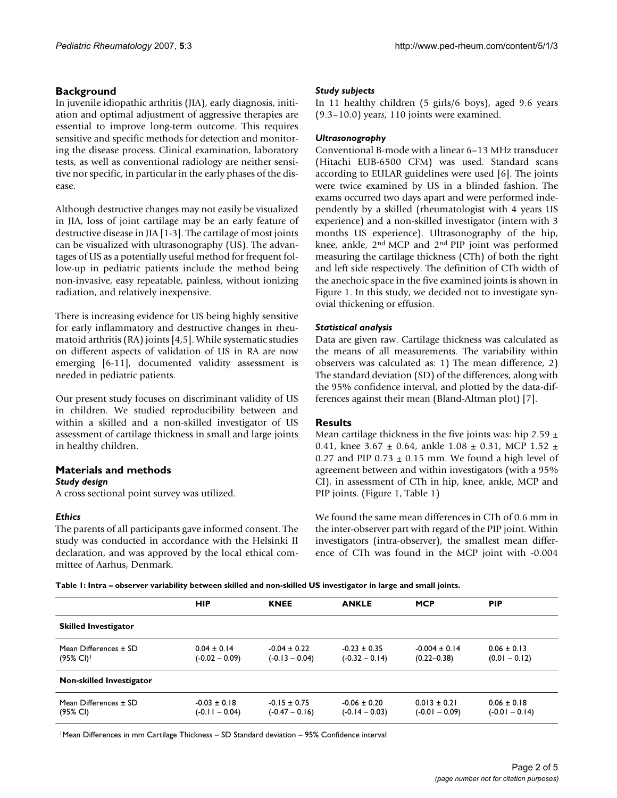#### **Background**

In juvenile idiopathic arthritis (JIA), early diagnosis, initiation and optimal adjustment of aggressive therapies are essential to improve long-term outcome. This requires sensitive and specific methods for detection and monitoring the disease process. Clinical examination, laboratory tests, as well as conventional radiology are neither sensitive nor specific, in particular in the early phases of the disease.

Although destructive changes may not easily be visualized in JIA, loss of joint cartilage may be an early feature of destructive disease in JIA [1-3]. The cartilage of most joints can be visualized with ultrasonography (US). The advantages of US as a potentially useful method for frequent follow-up in pediatric patients include the method being non-invasive, easy repeatable, painless, without ionizing radiation, and relatively inexpensive.

There is increasing evidence for US being highly sensitive for early inflammatory and destructive changes in rheumatoid arthritis (RA) joints [4,5]. While systematic studies on different aspects of validation of US in RA are now emerging [6-11], documented validity assessment is needed in pediatric patients.

Our present study focuses on discriminant validity of US in children. We studied reproducibility between and within a skilled and a non-skilled investigator of US assessment of cartilage thickness in small and large joints in healthy children.

### **Materials and methods**

#### *Study design*

A cross sectional point survey was utilized.

#### *Ethics*

The parents of all participants gave informed consent. The study was conducted in accordance with the Helsinki II declaration, and was approved by the local ethical committee of Aarhus, Denmark.

#### *Study subjects*

In 11 healthy children (5 girls/6 boys), aged 9.6 years (9.3–10.0) year*s*, 110 joints were examined.

#### *Ultrasonography*

Conventional B-mode with a linear 6–13 MHz transducer (Hitachi EUB-6500 CFM) was used. Standard scans according to EULAR guidelines were used [6]. The joints were twice examined by US in a blinded fashion. The exams occurred two days apart and were performed independently by a skilled (rheumatologist with 4 years US experience) and a non-skilled investigator (intern with 3 months US experience). Ultrasonography of the hip, knee, ankle, 2nd MCP and 2nd PIP joint was performed measuring the cartilage thickness (CTh) of both the right and left side respectively. The definition of CTh width of the anechoic space in the five examined joints is shown in Figure 1. In this study, we decided not to investigate synovial thickening or effusion.

#### *Statistical analysis*

Data are given raw. Cartilage thickness was calculated as the means of all measurements. The variability within observers was calculated as: 1) The mean difference, 2) The standard deviation (SD) of the differences, along with the 95% confidence interval, and plotted by the data-differences against their mean (Bland-Altman plot) [7].

#### **Results**

Mean cartilage thickness in the five joints was: hip 2.59  $\pm$ 0.41, knee  $3.67 \pm 0.64$ , ankle  $1.08 \pm 0.31$ , MCP  $1.52 \pm 0.04$ 0.27 and PIP 0.73  $\pm$  0.15 mm. We found a high level of agreement between and within investigators (with a 95% CI), in assessment of CTh in hip, knee, ankle, MCP and PIP joints. (Figure 1, Table 1)

We found the same mean differences in CTh of 0.6 mm in the inter-observer part with regard of the PIP joint. Within investigators (intra-observer), the smallest mean difference of CTh was found in the MCP joint with -0.004

**Table 1: Intra – observer variability between skilled and non-skilled US investigator in large and small joints.**

|                                                           | <b>HIP</b>                           | <b>KNEE</b>                          | <b>ANKLE</b>                         | <b>MCP</b>                           | <b>PIP</b>                          |
|-----------------------------------------------------------|--------------------------------------|--------------------------------------|--------------------------------------|--------------------------------------|-------------------------------------|
| <b>Skilled Investigator</b>                               |                                      |                                      |                                      |                                      |                                     |
| Mean Differences + SD<br>$(95\% \text{ Cl})$ <sup>1</sup> | $0.04 \pm 0.14$<br>$(-0.02 - 0.09)$  | $-0.04 \pm 0.22$<br>$(-0.13 - 0.04)$ | $-0.23 \pm 0.35$<br>$(-0.32 - 0.14)$ | $-0.004 \pm 0.14$<br>$(0.22 - 0.38)$ | $0.06 \pm 0.13$<br>$(0.01 - 0.12)$  |
| Non-skilled Investigator                                  |                                      |                                      |                                      |                                      |                                     |
| Mean Differences ± SD<br>(95% CI)                         | $-0.03 \pm 0.18$<br>$(-0.11 - 0.04)$ | $-0.15 \pm 0.75$<br>$(-0.47 - 0.16)$ | $-0.06 \pm 0.20$<br>$(-0.14 - 0.03)$ | $0.013 \pm 0.21$<br>$(-0.01 - 0.09)$ | $0.06 \pm 0.18$<br>$(-0.01 - 0.14)$ |

1Mean Differences in mm Cartilage Thickness – SD Standard deviation – 95% Confidence interval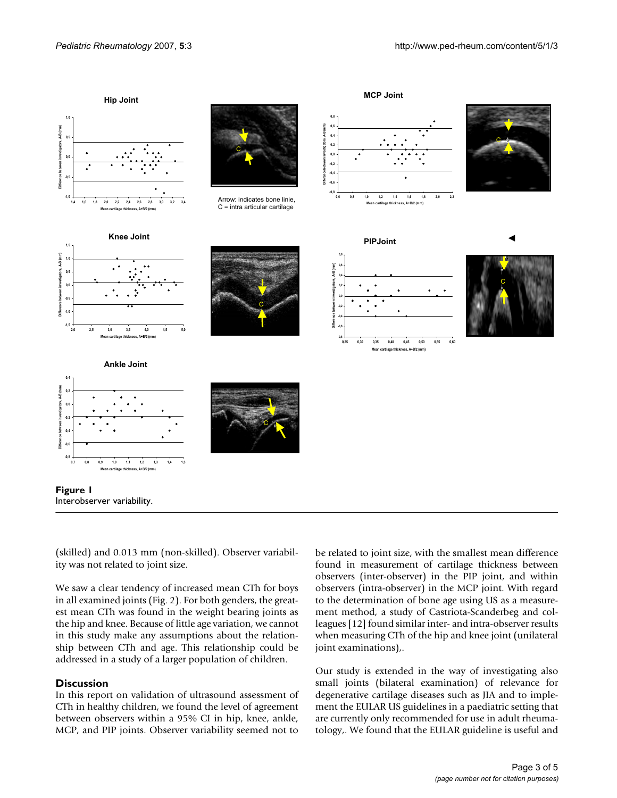

(skilled) and 0.013 mm (non-skilled). Observer variability was not related to joint size.

We saw a clear tendency of increased mean CTh for boys in all examined joints (Fig. 2). For both genders, the greatest mean CTh was found in the weight bearing joints as the hip and knee. Because of little age variation, we cannot in this study make any assumptions about the relationship between CTh and age. This relationship could be addressed in a study of a larger population of children.

#### **Discussion**

In this report on validation of ultrasound assessment of CTh in healthy children, we found the level of agreement between observers within a 95% CI in hip, knee, ankle, MCP, and PIP joints. Observer variability seemed not to

be related to joint size, with the smallest mean difference found in measurement of cartilage thickness between observers (inter-observer) in the PIP joint, and within observers (intra-observer) in the MCP joint. With regard to the determination of bone age using US as a measurement method, a study of Castriota-Scanderbeg and colleagues [12] found similar inter- and intra-observer results when measuring CTh of the hip and knee joint (unilateral joint examinations),.

Our study is extended in the way of investigating also small joints (bilateral examination) of relevance for degenerative cartilage diseases such as JIA and to implement the EULAR US guidelines in a paediatric setting that are currently only recommended for use in adult rheumatology,. We found that the EULAR guideline is useful and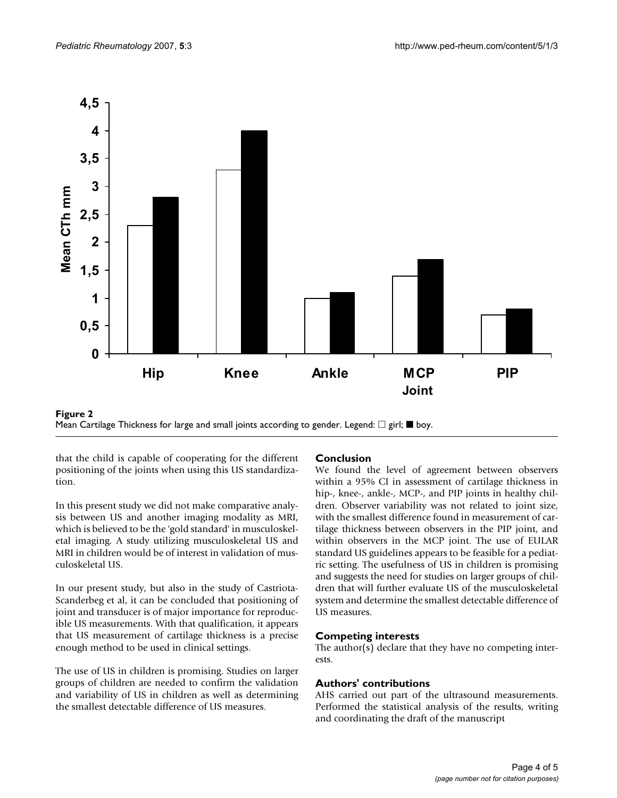

Figure 2 Mean Cartilage Thickness for large and small joints according to gender. Legend:  $\square$  girl;  $\blacksquare$  boy.

that the child is capable of cooperating for the different positioning of the joints when using this US standardization.

In this present study we did not make comparative analysis between US and another imaging modality as MRI, which is believed to be the 'gold standard' in musculoskeletal imaging. A study utilizing musculoskeletal US and MRI in children would be of interest in validation of musculoskeletal US.

In our present study, but also in the study of Castriota-Scanderbeg et al, it can be concluded that positioning of joint and transducer is of major importance for reproducible US measurements. With that qualification, it appears that US measurement of cartilage thickness is a precise enough method to be used in clinical settings.

The use of US in children is promising. Studies on larger groups of children are needed to confirm the validation and variability of US in children as well as determining the smallest detectable difference of US measures.

### **Conclusion**

We found the level of agreement between observers within a 95% CI in assessment of cartilage thickness in hip-, knee-, ankle-, MCP-, and PIP joints in healthy children. Observer variability was not related to joint size, with the smallest difference found in measurement of cartilage thickness between observers in the PIP joint, and within observers in the MCP joint. The use of EULAR standard US guidelines appears to be feasible for a pediatric setting. The usefulness of US in children is promising and suggests the need for studies on larger groups of children that will further evaluate US of the musculoskeletal system and determine the smallest detectable difference of US measures.

#### **Competing interests**

The author(s) declare that they have no competing interests.

#### **Authors' contributions**

AHS carried out part of the ultrasound measurements. Performed the statistical analysis of the results, writing and coordinating the draft of the manuscript